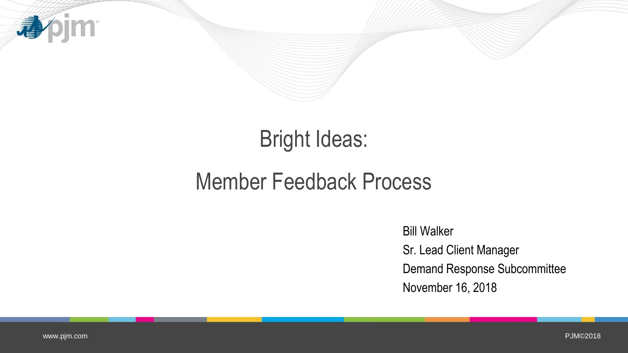

# Bright Ideas:

## Member Feedback Process

Bill Walker Sr. Lead Client Manager Demand Response Subcommittee November 16, 2018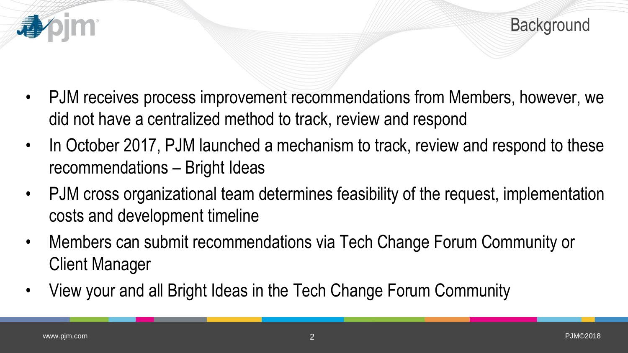

- PJM receives process improvement recommendations from Members, however, we did not have a centralized method to track, review and respond
- In October 2017, PJM launched a mechanism to track, review and respond to these recommendations – Bright Ideas
- PJM cross organizational team determines feasibility of the request, implementation costs and development timeline
- Members can submit recommendations via Tech Change Forum Community or Client Manager
- View your and all Bright Ideas in the Tech Change Forum Community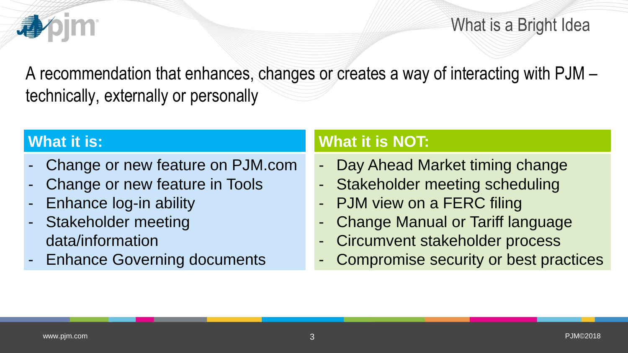

What is a Bright Idea

A recommendation that enhances, changes or creates a way of interacting with PJM – technically, externally or personally

#### **What it is:**

- Change or new feature on PJM.com
- Change or new feature in Tools
- Enhance log-in ability
- Stakeholder meeting data/information
- **Enhance Governing documents**

### **What it is NOT:**

- Day Ahead Market timing change
- Stakeholder meeting scheduling
- PJM view on a FERC filing
- Change Manual or Tariff language
- Circumvent stakeholder process
- Compromise security or best practices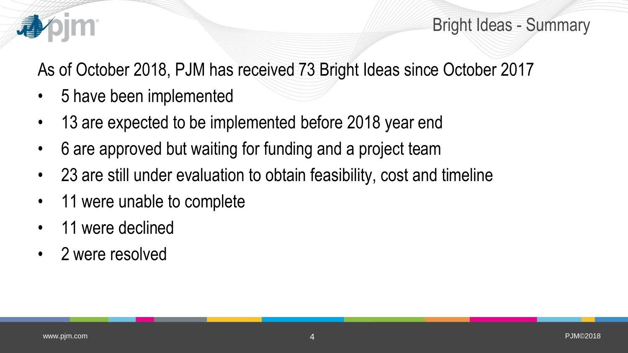

Bright Ideas - Summary

As of October 2018, PJM has received 73 Bright Ideas since October 2017

- 5 have been implemented
- 13 are expected to be implemented before 2018 year end
- 6 are approved but waiting for funding and a project team
- 23 are still under evaluation to obtain feasibility, cost and timeline
- 11 were unable to complete
- 11 were declined
- 2 were resolved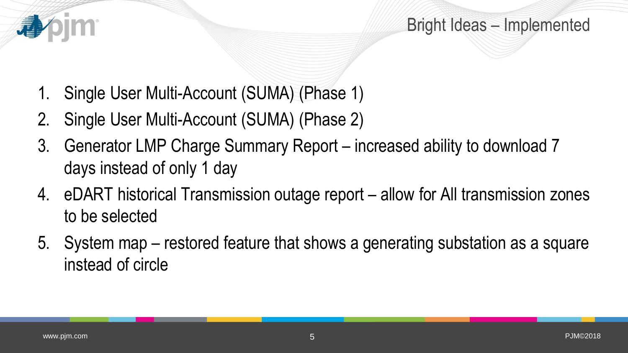

Bright Ideas – Implemented

- 1. Single User Multi-Account (SUMA) (Phase 1)
- 2. Single User Multi-Account (SUMA) (Phase 2)
- 3. Generator LMP Charge Summary Report increased ability to download 7 days instead of only 1 day
- 4. eDART historical Transmission outage report allow for All transmission zones to be selected
- 5. System map restored feature that shows a generating substation as a square instead of circle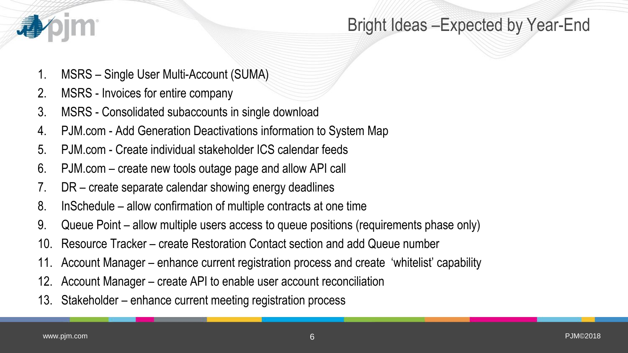

### Bright Ideas –Expected by Year-End

- 1. MSRS Single User Multi-Account (SUMA)
- 2. MSRS Invoices for entire company
- 3. MSRS Consolidated subaccounts in single download
- 4. PJM.com Add Generation Deactivations information to System Map
- 5. PJM.com Create individual stakeholder ICS calendar feeds
- 6. PJM.com create new tools outage page and allow API call
- 7. DR create separate calendar showing energy deadlines
- 8. InSchedule allow confirmation of multiple contracts at one time
- 9. Queue Point allow multiple users access to queue positions (requirements phase only)
- 10. Resource Tracker create Restoration Contact section and add Queue number
- 11. Account Manager enhance current registration process and create 'whitelist' capability
- 12. Account Manager create API to enable user account reconciliation
- 13. Stakeholder enhance current meeting registration process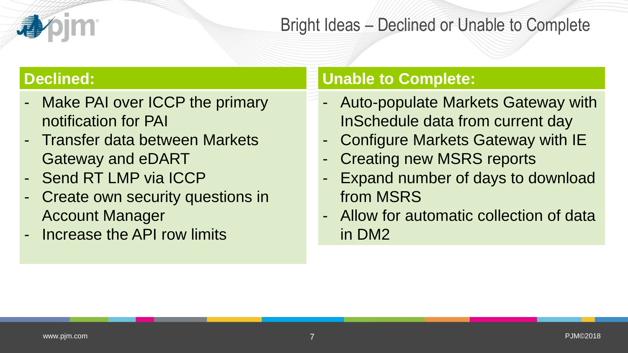### Bright Ideas – Declined or Unable to Complete

#### **Declined:**

- Make PAI over ICCP the primary notification for PAI
- Transfer data between Markets Gateway and eDART
- Send RT LMP via ICCP
- Create own security questions in Account Manager
- Increase the API row limits

#### **Unable to Complete:**

- Auto-populate Markets Gateway with InSchedule data from current day
- Configure Markets Gateway with IE
- **Creating new MSRS reports**
- Expand number of days to download from MSRS
- Allow for automatic collection of data in DM2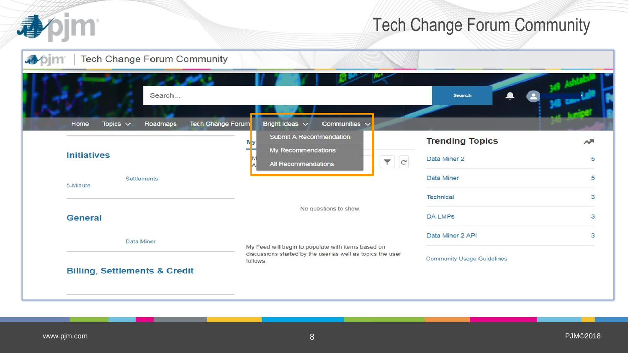

## Tech Change Forum Community

| Search                                                        |                                                                                                                              | <b>Search</b>                     |        |
|---------------------------------------------------------------|------------------------------------------------------------------------------------------------------------------------------|-----------------------------------|--------|
| Topics $\sim$<br><b>Tech Change Forum</b><br>Home<br>Roadmaps | Bright Ideas $\vee$<br>Communities $\sim$<br>Submit A Recommendation                                                         |                                   |        |
|                                                               |                                                                                                                              | <b>Trending Topics</b>            | $\sim$ |
| <b>Initiatives</b>                                            | My Recommendations<br>$\blacktriangledown$ $c$<br>All Recommendations                                                        | Data Miner 2                      | 5      |
| Settlements<br>5-Minute                                       |                                                                                                                              | Data Miner                        | 5      |
|                                                               |                                                                                                                              | Technical                         | 3      |
|                                                               | No questions to show.                                                                                                        |                                   |        |
| General                                                       |                                                                                                                              | <b>DA LMPs</b>                    | з      |
| Data Miner                                                    |                                                                                                                              | Data Miner 2 API                  | 3      |
| <b>Billing, Settlements &amp; Credit</b>                      | My Feed will begin to populate with items based on<br>discussions started by the user as well as topics the user<br>follows. | <b>Community Usage Guidelines</b> |        |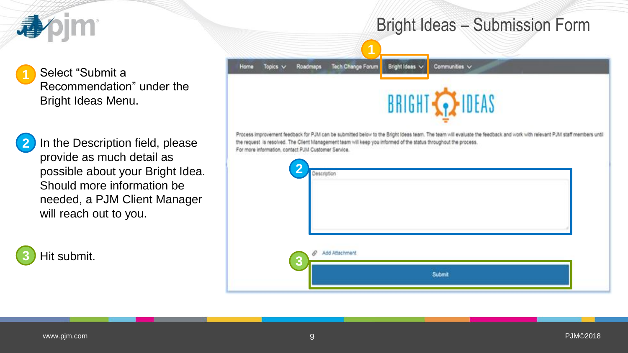

Select "Submit a Recommendation" under the Bright Ideas Menu. **1**



In the Description field, please provide as much detail as possible about your Bright Idea. Should more information be needed, a PJM Client Manager will reach out to you.

Hit submit. **3**



Bright Ideas – Submission Form

Process improvement feedback for PJM can be submitted below to the Bright Ideas team. The team will evaluate the feedback and work with relevant PJM staff members until the request is resolved. The Client Management team will keep you informed of the status throughout the process. For more information, contact PJM Customer Service.

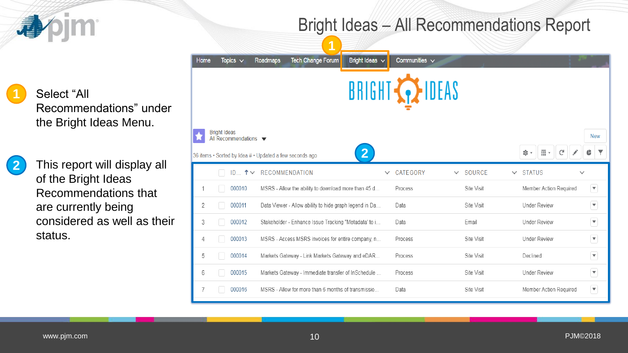## Bright Ideas – All Recommendations Report

Select "All Recommendations" under the Bright Ideas Menu.

bjm

This report will display all of the Bright Ideas Recommendations that are currently being considered as well as their status.

|      |                                                                 | и                                                       |                                  |                       |                        |                                      |                         |
|------|-----------------------------------------------------------------|---------------------------------------------------------|----------------------------------|-----------------------|------------------------|--------------------------------------|-------------------------|
| Home | Topics $\vee$                                                   | <b>Tech Change Forum</b><br><b>Roadmaps</b>             | Bright Ideas $\overline{\smile}$ | Communities $\vee$    |                        |                                      |                         |
|      |                                                                 |                                                         |                                  | BRIGHT <b>AZIDEAS</b> |                        |                                      |                         |
|      | <b>Bright Ideas</b><br>All Recommendations $\blacktriangledown$ | 36 items • Sorted by Idea # • Updated a few seconds ago | 2 <sup>1</sup>                   |                       |                        | $\overline{\mathbb{H}}$ *<br>G<br>☆・ | <b>New</b>              |
|      | $ID$ $\uparrow \vee$                                            | <b>RECOMMENDATION</b>                                   | $\checkmark$                     | CATEGORY              | SOURCE<br>$\checkmark$ | <b>STATUS</b><br>$\checkmark$        | $\checkmark$            |
|      | 000010                                                          | MSRS - Allow the ability to download more than 45 d     |                                  | Process               | Site Visit             | Member Action Required               | $\overline{\mathbf{v}}$ |
| 2    | 000011                                                          | Data Viewer - Allow ability to hide graph legend in Da  |                                  | Data                  | Site Visit             | <b>Under Review</b>                  | $\blacktriangledown$    |
| 3    | 000012                                                          | Stakeholder - Enhance Issue Tracking "Metadata' to i    |                                  | Data                  | Email                  | <b>Under Review</b>                  | $\overline{\mathbf{v}}$ |
| 4    | 000013                                                          | MSRS - Access MSRS invoices for entire company, n       |                                  | Process               | Site Visit             | <b>Under Review</b>                  | $\blacktriangledown$    |
| 5    | 000014                                                          | Markets Gateway - Link Markets Gateway and eDAR         |                                  | Process               | Site Visit             | Declined                             | $\overline{\mathbf{v}}$ |
| 6    | 000015                                                          | Markets Gateway - Immediate transfer of InSchedule      |                                  | Process               | Site Visit             | <b>Under Review</b>                  | $\overline{\mathbf{v}}$ |
| 7    | 000016                                                          | MSRS - Allow for more than 6 months of transmissio      |                                  | Data                  | Site Visit             | Member Action Required               | ▼.                      |

**2**

**1**

看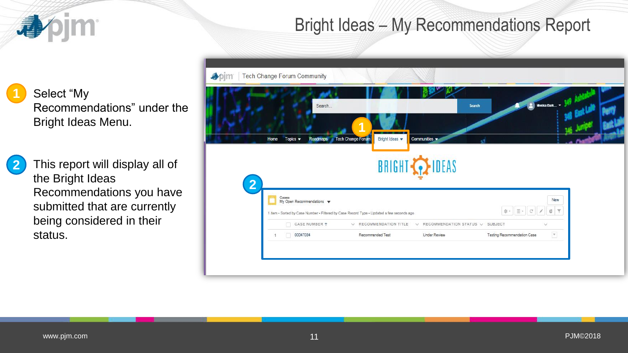

**2**

**1**

### Bright Ideas – My Recommendations Report

Select "My Recommendations" under the Bright Ideas Menu.

This report will display all of the Bright Ideas Recommendations you have submitted that are currently being considered in their status.